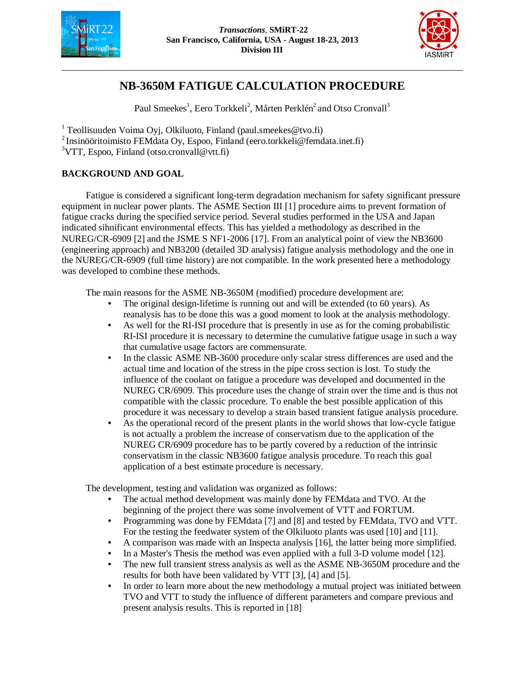



# **NB-3650M FATIGUE CALCULATION PROCEDURE**

Paul Smeekes<sup>1</sup>, Eero Torkkeli<sup>2</sup>, Mårten Perklén<sup>2</sup> and Otso Cronvall<sup>3</sup>

<sup>1</sup> Teollisuuden Voima Oyj, Olkiluoto, Finland (paul.smeekes@tvo.fi)

<sup>2</sup> Insinööritoimisto FEMdata Oy, Espoo, Finland (eero.torkkeli@femdata.inet.fi)

 $3VTT$ , Espoo, Finland (otso.cronvall@vtt.fi)

# **BACKGROUND AND GOAL**

Fatigue is considered a significant long-term degradation mechanism for safety significant pressure equipment in nuclear power plants. The ASME Section III [1] procedure aims to prevent formation of fatigue cracks during the specified service period. Several studies performed in the USA and Japan indicated sihnificant environmental effects. This has yielded a methodology as described in the NUREG/CR-6909 [2] and the JSME S NF1-2006 [17]. From an analytical point of view the NB3600 (engineering approach) and NB3200 (detailed 3D analysis) fatigue analysis methodology and the one in the NUREG/CR-6909 (full time history) are not compatible. In the work presented here a methodology was developed to combine these methods.

The main reasons for the ASME NB-3650M (modified) procedure development are:

- The original design-lifetime is running out and will be extended (to 60 years). As reanalysis has to be done this was a good moment to look at the analysis methodology.
- As well for the RI-ISI procedure that is presently in use as for the coming probabilistic RI-ISI procedure it is necessary to determine the cumulative fatigue usage in such a way that cumulative usage factors are commensurate.
- In the classic ASME NB-3600 procedure only scalar stress differences are used and the actual time and location of the stress in the pipe cross section is lost. To study the influence of the coolant on fatigue a procedure was developed and documented in the NUREG CR/6909. This procedure uses the change of strain over the time and is thus not compatible with the classic procedure. To enable the best possible application of this procedure it was necessary to develop a strain based transient fatigue analysis procedure.
- As the operational record of the present plants in the world shows that low-cycle fatigue is not actually a problem the increase of conservatism due to the application of the NUREG CR/6909 procedure has to be partly covered by a reduction of the intrinsic conservatism in the classic NB3600 fatigue analysis procedure. To reach this goal application of a best estimate procedure is necessary.

The development, testing and validation was organized as follows:

- The actual method development was mainly done by FEMdata and TVO. At the beginning of the project there was some involvement of VTT and FORTUM.
- Programming was done by FEMdata [7] and [8] and tested by FEMdata, TVO and VTT. For the testing the feedwater system of the Olkiluoto plants was used [10] and [11].
- A comparison was made with an Inspecta analysis [16], the latter being more simplified.
- In a Master's Thesis the method was even applied with a full 3-D volume model [12].
- The new full transient stress analysis as well as the ASME NB-3650M procedure and the results for both have been validated by VTT [3], [4] and [5].
- In order to learn more about the new methodology a mutual project was initiated between TVO and VTT to study the influence of different parameters and compare previous and present analysis results. This is reported in [18]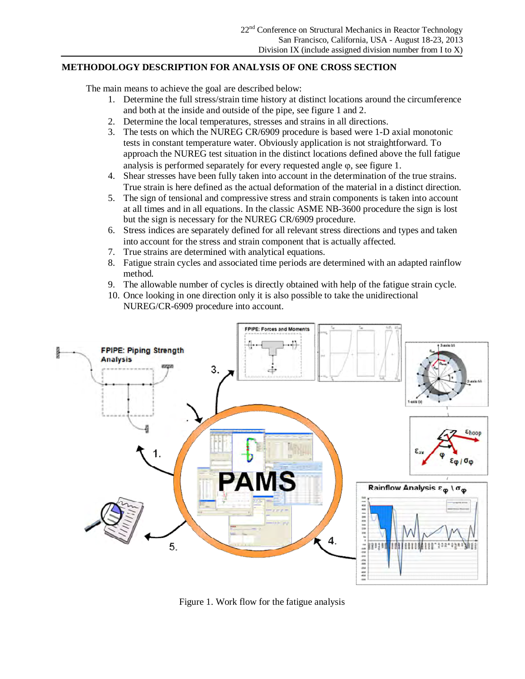# **METHODOLOGY DESCRIPTION FOR ANALYSIS OF ONE CROSS SECTION**

The main means to achieve the goal are described below:

- 1. Determine the full stress/strain time history at distinct locations around the circumference and both at the inside and outside of the pipe, see figure 1 and 2.
- 2. Determine the local temperatures, stresses and strains in all directions.
- 3. The tests on which the NUREG CR/6909 procedure is based were 1-D axial monotonic tests in constant temperature water. Obviously application is not straightforward. To approach the NUREG test situation in the distinct locations defined above the full fatigue analysis is performed separately for every requested angle  $\varphi$ , see figure 1.
- 4. Shear stresses have been fully taken into account in the determination of the true strains. True strain is here defined as the actual deformation of the material in a distinct direction.
- 5. The sign of tensional and compressive stress and strain components is taken into account at all times and in all equations. In the classic ASME NB-3600 procedure the sign is lost but the sign is necessary for the NUREG CR/6909 procedure.
- 6. Stress indices are separately defined for all relevant stress directions and types and taken into account for the stress and strain component that is actually affected.
- 7. True strains are determined with analytical equations.
- 8. Fatigue strain cycles and associated time periods are determined with an adapted rainflow method.
- 9. The allowable number of cycles is directly obtained with help of the fatigue strain cycle.
- 10. Once looking in one direction only it is also possible to take the unidirectional NUREG/CR-6909 procedure into account.



Figure 1. Work flow for the fatigue analysis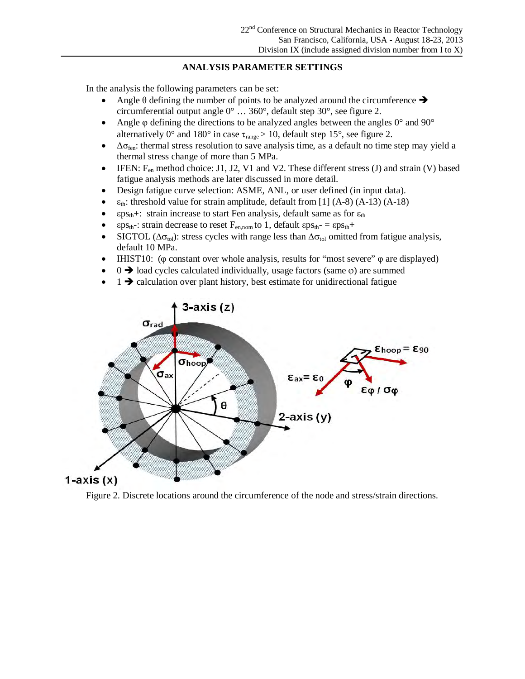# **ANALYSIS PARAMETER SETTINGS**

In the analysis the following parameters can be set:

- Angle  $\theta$  defining the number of points to be analyzed around the circumference  $\rightarrow$ circumferential output angle 0° … 360°, default step 30°, see figure 2.
- Angle  $\varphi$  defining the directions to be analyzed angles between the angles  $0^{\circ}$  and  $90^{\circ}$ alternatively 0° and 180° in case  $\tau_{\text{range}} > 10$ , default step 15°, see figure 2.
- $\bullet$   $\Delta \sigma_{\text{fen}}$ : thermal stress resolution to save analysis time, as a default no time step may yield a thermal stress change of more than 5 MPa.
- FIEN: F<sub>en</sub> method choice: J1, J2, V1 and V2. These different stress (J) and strain (V) based fatigue analysis methods are later discussed in more detail.
- Design fatigue curve selection: ASME, ANL, or user defined (in input data).
- $\varepsilon_{th}$ : threshold value for strain amplitude, default from [1] (A-8) (A-13) (A-18)
- $\epsilon$ ps<sub>th</sub>+: strain increase to start Fen analysis, default same as for  $\epsilon$ <sub>th</sub>
- $\epsilon$ ps<sub>th</sub>-: strain decrease to reset F<sub>en,nom</sub> to 1, default  $\epsilon$ ps<sub>th</sub>- =  $\epsilon$ ps<sub>th</sub>+
- SIGTOL ( $\Delta \sigma_{\text{tol}}$ ): stress cycles with range less than  $\Delta \sigma_{\text{tol}}$  omitted from fatigue analysis, default 10 MPa.
- IHIST10: ( $\varphi$  constant over whole analysis, results for "most severe"  $\varphi$  are displayed)
- $\theta \rightarrow 0$  load cycles calculated individually, usage factors (same  $\varphi$ ) are summed
- $1 \rightarrow$  calculation over plant history, best estimate for unidirectional fatigue



Figure 2. Discrete locations around the circumference of the node and stress/strain directions.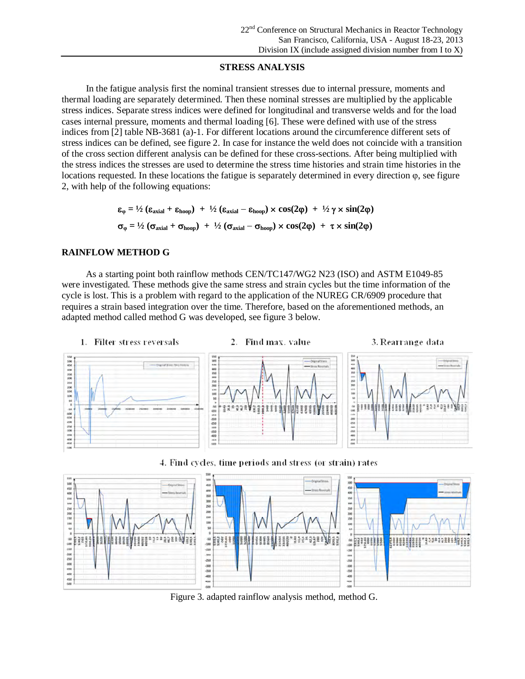#### **STRESS ANALYSIS**

In the fatigue analysis first the nominal transient stresses due to internal pressure, moments and thermal loading are separately determined. Then these nominal stresses are multiplied by the applicable stress indices. Separate stress indices were defined for longitudinal and transverse welds and for the load cases internal pressure, moments and thermal loading [6]. These were defined with use of the stress indices from [2] table NB-3681 (a)-1. For different locations around the circumference different sets of stress indices can be defined, see figure 2. In case for instance the weld does not coincide with a transition of the cross section different analysis can be defined for these cross-sections. After being multiplied with the stress indices the stresses are used to determine the stress time histories and strain time histories in the locations requested. In these locations the fatigue is separately determined in every direction  $\varphi$ , see figure 2, with help of the following equations:

> $\epsilon_{\omega} = \frac{1}{2} (\epsilon_{\text{axial}} + \epsilon_{\text{hoop}}) + \frac{1}{2} (\epsilon_{\text{axial}} - \epsilon_{\text{hoop}}) \times \cos(2\varphi) + \frac{1}{2} \gamma \times \sin(2\varphi)$  $\sigma_{\varphi} = \frac{1}{2} \left( \sigma_{\text{axial}} + \sigma_{\text{hoop}} \right) + \frac{1}{2} \left( \sigma_{\text{axial}} - \sigma_{\text{hoop}} \right) \times \cos(2\varphi) + \tau \times \sin(2\varphi)$

## **RAINFLOW METHOD G**

As a starting point both rainflow methods CEN/TC147/WG2 N23 (ISO) and ASTM E1049-85 were investigated. These methods give the same stress and strain cycles but the time information of the cycle is lost. This is a problem with regard to the application of the NUREG CR/6909 procedure that requires a strain based integration over the time. Therefore, based on the aforementioned methods, an adapted method called method G was developed, see figure 3 below.



Figure 3. adapted rainflow analysis method, method G.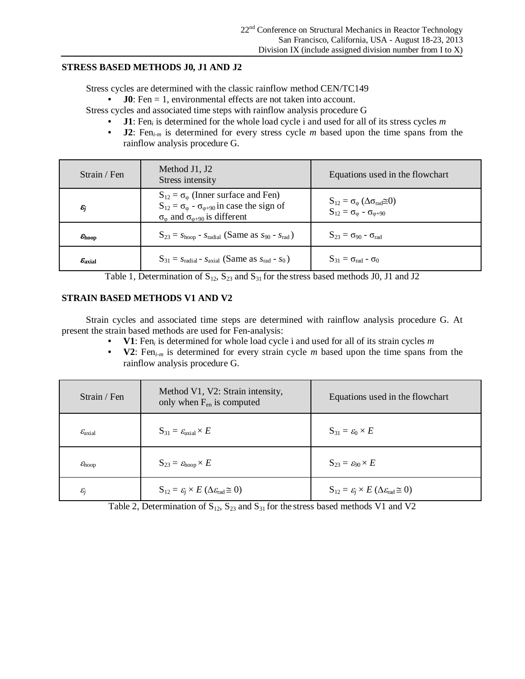## **STRESS BASED METHODS J0, J1 AND J2**

Stress cycles are determined with the classic rainflow method CEN/TC149

**J0**: Fen = 1, environmental effects are not taken into account.

Stress cycles and associated time steps with rainflow analysis procedure G

- **J1**: Fen*<sup>i</sup>* is determined for the whole load cycle i and used for all of its stress cycles *m*
- **J2**: Fen*i-m* is determined for every stress cycle *m* based upon the time spans from the rainflow analysis procedure G.

| Strain / Fen                 | Method J1, J2<br>Stress intensity                                                                                                                                                        | Equations used in the flowchart                                                                                                |
|------------------------------|------------------------------------------------------------------------------------------------------------------------------------------------------------------------------------------|--------------------------------------------------------------------------------------------------------------------------------|
| $\epsilon_{j}$               | $S_{12} = \sigma_{\omega}$ (Inner surface and Fen)<br>$S_{12} = \sigma_{\varphi} - \sigma_{\varphi+90}$ in case the sign of<br>$\sigma_{\varphi}$ and $\sigma_{\varphi+90}$ is different | $S_{12} = \sigma_{\varphi} (\Delta \sigma_{\text{rad}} \tilde{\equiv} 0)$<br>$S_{12} = \sigma_{\varphi} - \sigma_{\varphi+90}$ |
| $\varepsilon_{\text{hoop}}$  | $S_{23} = s_{\text{hoop}} - s_{\text{radial}}$ (Same as $s_{90} - s_{\text{rad}}$ )                                                                                                      | $S_{23} = \sigma_{90} - \sigma_{rad}$                                                                                          |
| $\mathcal{E}_{\text{axial}}$ | $S_{31} = S_{radial} - S_{axial}$ (Same as $S_{rad} - S_0$ )                                                                                                                             | $S_{31} = \sigma_{rad} - \sigma_0$                                                                                             |

Table 1, Determination of  $S_{12}$ ,  $S_{23}$  and  $S_{31}$  for the stress based methods J0, J1 and J2

## **STRAIN BASED METHODS V1 AND V2**

Strain cycles and associated time steps are determined with rainflow analysis procedure G. At present the strain based methods are used for Fen-analysis:

- **V1**: Fen<sub>i</sub> is determined for whole load cycle i and used for all of its strain cycles *m*
- **V2**: Fen*i-m* is determined for every strain cycle *m* based upon the time spans from the rainflow analysis procedure G.

| Strain / Fen                 | Method V1, V2: Strain intensity,<br>only when $F_{en}$ is computed                | Equations used in the flowchart                                                   |  |  |
|------------------------------|-----------------------------------------------------------------------------------|-----------------------------------------------------------------------------------|--|--|
| $\mathcal{E}_{\text{axial}}$ | $S_{31} = \varepsilon_{\text{axial}} \times E$                                    | $S_{31} = \varepsilon_0 \times E$                                                 |  |  |
| $\mathcal{E}_{\text{hoop}}$  | $S_{23} = \varepsilon_{\text{hoop}} \times E$                                     | $S_{23} = \varepsilon_{90} \times E$                                              |  |  |
| $\varepsilon_j$              | $S_{12} = \varepsilon_i \times E$ ( $\Delta \varepsilon_{\text{rad}} \approx 0$ ) | $S_{12} = \varepsilon_i \times E$ ( $\Delta \varepsilon_{\text{rad}} \approx 0$ ) |  |  |

Table 2, Determination of  $S_{12}$ ,  $S_{23}$  and  $S_{31}$  for the stress based methods V1 and V2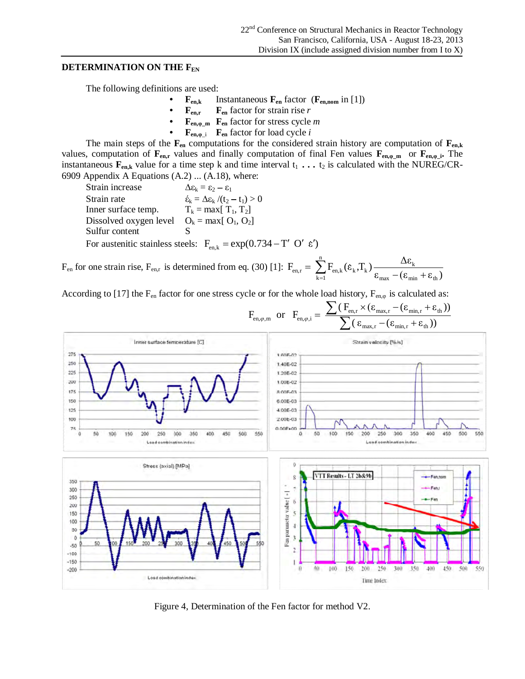#### **DETERMINATION ON THE F<sub>EN</sub>**

The following definitions are used:

- **Fen,k** Instantaneous **Fen** factor (**Fen,nom** in [1])
- $\mathbf{F}_{en,r}$  **F**<sub>en</sub> factor for strain rise *r*
- $\mathbf{F}_{en,\varphi,m}$   $\mathbf{F}_{en}$  factor for stress cycle *m*
- $\mathbf{F}_{en, \phi}$  *i*  $\mathbf{F}_{en}$  factor for load cycle *i*

The main steps of the  $\mathbf{F}_{en}$  computations for the considered strain history are computation of  $\mathbf{F}_{en,k}$ values, computation of  $\mathbf{F}_{en,r}$  values and finally computation of final Fen values  $\mathbf{F}_{en,\varphi_m}$  or  $\mathbf{F}_{en,\varphi_m}$ . The instantaneous  $\mathbf{F}_{en,k}$  value for a time step k and time interval  $t_1 \ldots t_2$  is calculated with the NUREG/CR-6909 Appendix A Equations (A.2) ... (A.18), where:

Strain increase  $\Delta \varepsilon_k = \varepsilon_2 - \varepsilon_1$ Strain rate  $\acute{\epsilon}_{k} = \Delta \epsilon_{k} / (t_{2} - t_{1}) > 0$ Inner surface temp.  $T_k = \max[T_1, T_2]$ Dissolved oxygen level  $O_k = max[ O_1, O_2]$ Sulfur content For austenitic stainless steels:  $F_{en,k} = \exp(0.734 - T' O' \epsilon')$ 

 $F_{en}$  for one strain rise,  $F_{en,r}$  is determined from eq. (30) [1]:  $\mathbf{\varepsilon}_{\text{max}} - (\mathbf{\varepsilon}_{\text{min}} + \mathbf{\varepsilon}_{\text{th}})$  $F_{\text{en }r} = \sum_{k=1}^{n} F_{\text{en }k}(\varepsilon_k, T_k) \frac{\Delta \varepsilon_k}{\Delta \varepsilon_k}$  $_{\text{max}}$   $_{\text{C}}$   $_{\text{min}}$   $_{\text{T}}$   $_{\text{C}}$   $_{\text{th}}$  $k = \frac{AC_k}{A}$ n  $k=1$  $\mathcal{E}_{\text{en,r}} = \ \sum_{\text{k=1}}^{\text{c}} \mathrm{F}_{\text{en},\text{k}}(\boldsymbol{\varepsilon}_\text{k},\!text{T}_\text{k}) \frac{\Delta \boldsymbol{\varepsilon}_\text{k}}{\boldsymbol{\varepsilon}_{\text{max}}-(\boldsymbol{\varepsilon}_{\text{min}}+\boldsymbol{\varepsilon}_{\text{min}})$ 

According to [17] the F<sub>en</sub> factor for one stress cycle or for the whole load history,  $F_{en,0}$  is calculated as:



Figure 4, Determination of the Fen factor for method V2.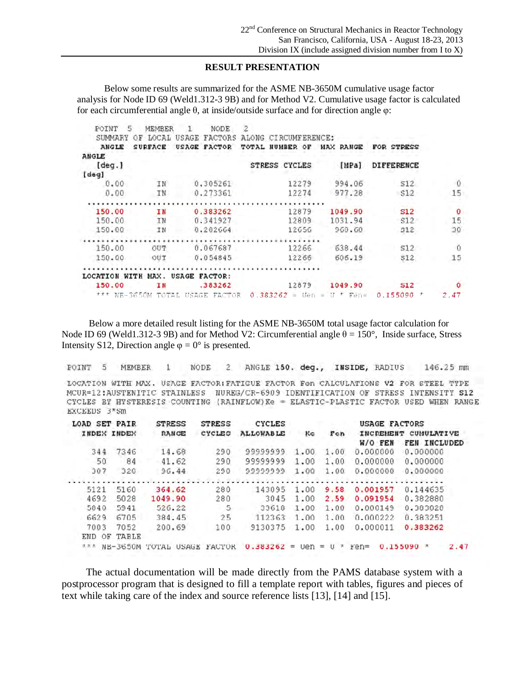## **RESULT PRESENTATION**

Below some results are summarized for the ASME NB-3650M cumulative usage factor analysis for Node ID 69 (Weld1.312-3 9B) and for Method V2. Cumulative usage factor is calculated for each circumferential angle  $\theta$ , at inside/outside surface and for direction angle  $\varphi$ :

| POINT<br>5<br>SUMMARY | MEMBER<br>LOCAL<br>ΟF | NODE<br><b>FACTORS</b><br>USAGE | 2<br>ALONG<br>CTRCUMFERENCE:       |                                         |            |         |
|-----------------------|-----------------------|---------------------------------|------------------------------------|-----------------------------------------|------------|---------|
| ANGLE                 | <b>SURFACE</b>        | <b>FACTOR</b><br>USAGE          | UMBER<br>TOTAL.<br>ОF              | <b>RANGE</b><br>MAX                     | FOR:       |         |
| ANGLE                 |                       |                                 |                                    |                                         |            |         |
| [deg.]                |                       |                                 | STRESS CYCLES                      | [MPa]                                   | DIFFERENCE |         |
| [deg]                 |                       |                                 |                                    |                                         |            |         |
| 0.00                  | ΙN                    | 0.305261                        | 12279                              | 994.06                                  | S12        | ۱Ũ      |
| 0.00                  | ΙN                    | 0.273361                        | 12274                              | 977.28                                  | \$12       | 15      |
|                       |                       |                                 |                                    |                                         |            |         |
| 150.00                | ΙN                    | 0.383262                        | 12879                              | 1049.90                                 | <b>S12</b> | $\circ$ |
| 150.00                | IN                    | 0.341927                        | 12809                              | 1031.94                                 | 512        | 15      |
| 150.00                | IN                    | 0.202664                        | 12656                              | 968.60                                  | 512        | 30      |
|                       |                       |                                 |                                    |                                         |            |         |
| 150.00                | OUT                   | 0.067687                        | 12266                              | 638.44                                  | 512        | - O     |
| 150.00                | OUT                   | 0.054845                        | 12266                              | 606.19                                  | S12        | 15      |
|                       |                       |                                 |                                    |                                         |            |         |
| LOCATION              | WITH MAX.             | USAGE FACTOR:                   |                                    |                                         |            |         |
| 150.00                | ΙN                    | .383262                         | 12879                              | 1049.90                                 | <b>S12</b> | o       |
| $***$ NR-3650M        | TOTAL.                | <b>USAGE</b><br>FACTOR          | 0.383262<br>$\frac{1}{2}$<br>tren. | $\frac{1}{2\sqrt{2}}$<br>$Fen =$<br>打一大 | 0.155090   | 2.47    |

Below a more detailed result listing for the ASME NB-3650M total usage factor calculation for Node ID 69 (Weld1.312-3 9B) and for Method V2: Circumferential angle  $\theta = 150^{\circ}$ , Inside surface, Stress Intensity S12, Direction angle  $\varphi = 0^{\circ}$  is presented.

ANGLE 150. deg., INSIDE, RADIUS POINT 5 **MEMBER NODE** 2. 146.25 mm 1

LOCATION WITH MAX. USAGE FACTOR: FATIGUE FACTOR Fen CALCULATIONS V2 FOR STEEL TYPE MCUR=12:AUSTENITIC STAINLESS NUREG/CR-6909 IDENTIFICATION OF STRESS INTENSITY S12 CYCLES BY HYSTERESIS COUNTING (RAINFLOW) Ke = ELASTIC-PLASTIC FACTOR USED WHEN RANGE EXCEEDS 3\*Sm

| LOAD SET PAIR |             | <b>STRESS</b>                   | <b>STRESS</b> | <b>CYCLES</b>    |            |         | USAGE FACTORS |                                      |
|---------------|-------------|---------------------------------|---------------|------------------|------------|---------|---------------|--------------------------------------|
|               | INDEX INDEX | <b>RANGE</b>                    | CYCLES        | <b>ALLOWABLE</b> | Кe         | Fen     | W/O FEN       | INCREMENT CUMULATIVE<br>FEN INCLUDED |
| 344           | 7346        | 14.68                           | 290           | 99999999         | 1,00       | 1.00    | 0.000000      | 0.000000                             |
| 50            | 84          | 41.62                           | 290           | 99999999         | 1.00       | 1.00    | 0,000000      | 0.000000                             |
| 307           | 328         | 96.44                           | 290           | 99999999         | 1.00       | 1.00    | 0.000000      | 0.000000                             |
|               |             |                                 |               |                  |            |         |               |                                      |
| 5121          | 5160        | 364.62                          | 280           | 143095           | 1.00       | 9.58    | 0.001957      | 0.144635                             |
| 4692          | 5028        | 1049.90                         | 280           | 3045             | 1.00       | 2.59    | 0.091954      | 0.382880                             |
| 5840          | 5941        | 526.22                          | 5             | 33618            | 1.00       | 1.00    | 0.000149      | 0.383028                             |
| 6629          | 6705        | 384.45                          | 25            | 112363           | 1.00       | 1.00    | 0.000222      | 0.383251                             |
| 7003          | 7052        | 200.69                          | 100           | 9130375          | 1.00       | 1.00    | 0.000011      | 0.383262                             |
| END           | OF TABLE    |                                 |               |                  |            |         |               |                                      |
|               |             | *** NB-3650M TOTAL USAGE FACTOR |               | $0.383262 =$     | <b>Uen</b> | $= 0$ * | $Fen =$       | $0.155090*$<br>2.47                  |

The actual documentation will be made directly from the PAMS database system with a postprocessor program that is designed to fill a template report with tables, figures and pieces of text while taking care of the index and source reference lists [13], [14] and [15].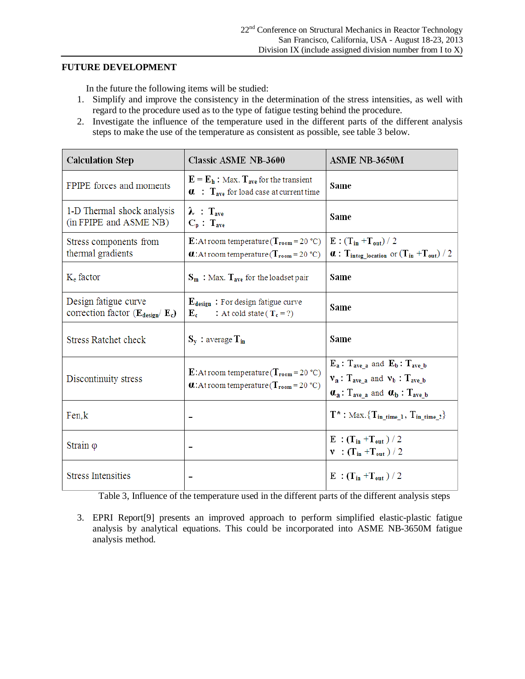#### **FUTURE DEVELOPMENT**

In the future the following items will be studied:

- 1. Simplify and improve the consistency in the determination of the stress intensities, as well with regard to the procedure used as to the type of fatigue testing behind the procedure.
- 2. Investigate the influence of the temperature used in the different parts of the different analysis steps to make the use of the temperature as consistent as possible, see table 3 below.

| <b>Calculation Step</b>                                             | <b>Classic ASME NB-3600</b>                                                                                                                | ASME NB-3650M                                                                                                                                                     |  |
|---------------------------------------------------------------------|--------------------------------------------------------------------------------------------------------------------------------------------|-------------------------------------------------------------------------------------------------------------------------------------------------------------------|--|
| FPIPE forces and moments                                            | $E = E_h$ : Max. $T_{ave}$ for the transient<br>$\alpha$ : $T_{ave}$ for load case at current time                                         | Same                                                                                                                                                              |  |
| 1-D Thermal shock analysis<br>(in FPIPE and ASME NB)                | $\lambda$ : $T_{ave}$<br>$C_p$ : $T_{ave}$                                                                                                 | Same                                                                                                                                                              |  |
| Stress components from<br>thermal gradients                         | E:At room temperature ( $T_{\text{room}} = 20 \text{ °C}$ )<br><b><i>a</i></b> : At room temperature ( $T_{\text{room}} = 20 \text{ °C}$ ) | $E: (T_{in} + T_{out}) / 2$<br>$\alpha$ : T <sub>integ</sub> location or $(T_{in}+T_{out})/2$                                                                     |  |
| $Ke$ factor                                                         | $S_m$ : Max. $T_{ave}$ for the loadset pair                                                                                                | Same                                                                                                                                                              |  |
| Design fatigue curve<br>correction factor $(E_{\text{design}}/E_c)$ | $E_{\text{design}}$ : For design fatigue curve<br>: At cold state ( $T_c = ?$ )<br>$E_c$                                                   | Same                                                                                                                                                              |  |
| <b>Stress Ratchet check</b>                                         | $S_v$ : average $T_{in}$                                                                                                                   | Same                                                                                                                                                              |  |
| Discontinuity stress                                                | E:At room temperature ( $T_{\text{room}} = 20 \text{ °C}$ )<br><b>0.</b> : At room temperature ( $T_{\text{room}} = 20 \text{ °C}$ )       | $E_a$ : $T_{ave a}$ and $E_b$ : $T_{ave b}$<br>$v_a$ : $T_{ave a}$ and $v_b$ : $T_{ave b}$<br>$\alpha_a$ : T <sub>ave a</sub> and $\alpha_b$ : T <sub>ave b</sub> |  |
| Fen,k                                                               |                                                                                                                                            | $T^*: Max. \{T_{in\_time\_1}, T_{in\_time\_2}\}$                                                                                                                  |  |
| Strain $\varphi$                                                    |                                                                                                                                            | $E:(T_{in}+T_{out})/2$<br>$\mathbf{v}$ : $(T_{\text{in}} + T_{\text{out}})/2$                                                                                     |  |
| <b>Stress Intensities</b>                                           |                                                                                                                                            | $E: (T_{in} + T_{out})/2$                                                                                                                                         |  |

Table 3, Influence of the temperature used in the different parts of the different analysis steps

3. EPRI Report[9] presents an improved approach to perform simplified elastic-plastic fatigue analysis by analytical equations. This could be incorporated into ASME NB-3650M fatigue analysis method.